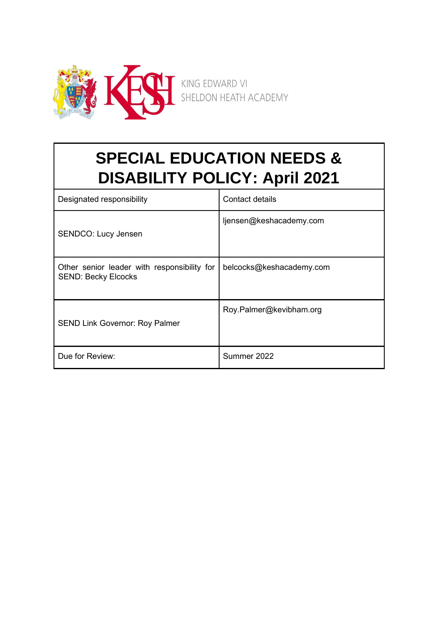

# **SPECIAL EDUCATION NEEDS & DISABILITY POLICY: April 2021**

| Designated responsibility                                                 | Contact details          |
|---------------------------------------------------------------------------|--------------------------|
| <b>SENDCO: Lucy Jensen</b>                                                | ljensen@keshacademy.com  |
| Other senior leader with responsibility for<br><b>SEND: Becky Elcocks</b> | belcocks@keshacademy.com |
| <b>SEND Link Governor: Roy Palmer</b>                                     | Roy.Palmer@kevibham.org  |
| Due for Review:                                                           | Summer 2022              |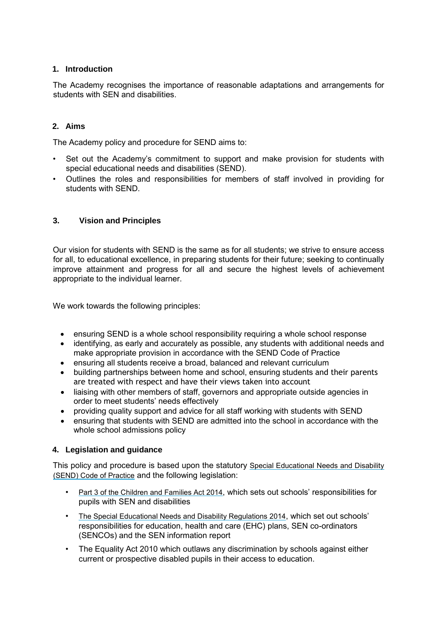# **1. Introduction**

The Academy recognises the importance of reasonable adaptations and arrangements for students with SEN and disabilities.

## **2. Aims**

The Academy policy and procedure for SEND aims to:

- Set out the Academy's commitment to support and make provision for students with special educational needs and disabilities (SEND).
- Outlines the roles and responsibilities for members of staff involved in providing for students with SEND.

## **3. Vision and Principles**

Our vision for students with SEND is the same as for all students; we strive to ensure access for all, to educational excellence, in preparing students for their future; seeking to continually improve attainment and progress for all and secure the highest levels of achievement appropriate to the individual learner.

We work towards the following principles:

- ensuring SEND is a whole school responsibility requiring a whole school response
- identifying, as early and accurately as possible, any students with additional needs and make appropriate provision in accordance with the SEND Code of Practice
- ensuring all students receive a broad, balanced and relevant curriculum
- building partnerships between home and school, ensuring students and their parents are treated with respect and have their views taken into account
- liaising with other members of staff, governors and appropriate outside agencies in order to meet students' needs effectively
- providing quality support and advice for all staff working with students with SEND
- ensuring that students with SEND are admitted into the school in accordance with the whole school admissions policy

#### **4. Legislation and guidance**

This policy and procedure is based upon the statutory [Special Educational Needs and Disability](https://www.gov.uk/government/uploads/system/uploads/attachment_data/file/398815/SEND_Code_of_Practice_January_2015.pdf) [\(SEND\) Code of Practice](https://www.gov.uk/government/uploads/system/uploads/attachment_data/file/398815/SEND_Code_of_Practice_January_2015.pdf) [a](https://www.gov.uk/government/uploads/system/uploads/attachment_data/file/398815/SEND_Code_of_Practice_January_2015.pdf)nd the following legislation:

- [Part 3 of the Children and Families Act 2014](http://www.legislation.gov.uk/ukpga/2014/6/part/3)[,](http://www.legislation.gov.uk/ukpga/2014/6/part/3) which sets out schools' responsibilities for pupils with SEN and disabilities
- [The Special Educational Needs and Disability Regulations 2014](http://www.legislation.gov.uk/uksi/2014/1530/contents/made)[,](http://www.legislation.gov.uk/uksi/2014/1530/contents/made) which set out schools' responsibilities for education, health and care (EHC) plans, SEN co-ordinators (SENCOs) and the SEN information report
- The Equality Act 2010 which outlaws any discrimination by schools against either current or prospective disabled pupils in their access to education.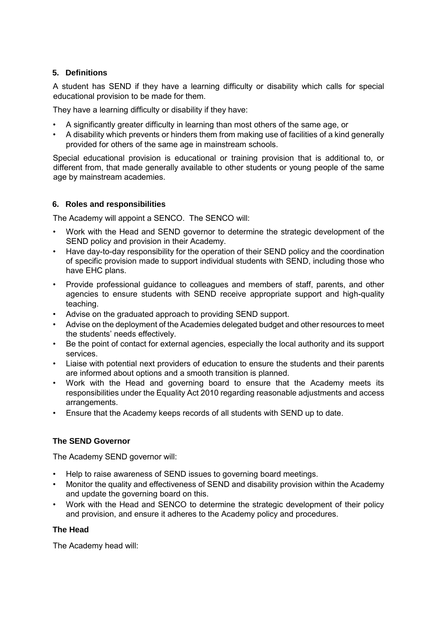# **5. Definitions**

A student has SEND if they have a learning difficulty or disability which calls for special educational provision to be made for them.

They have a learning difficulty or disability if they have:

- A significantly greater difficulty in learning than most others of the same age, or
- A disability which prevents or hinders them from making use of facilities of a kind generally provided for others of the same age in mainstream schools.

Special educational provision is educational or training provision that is additional to, or different from, that made generally available to other students or young people of the same age by mainstream academies.

## **6. Roles and responsibilities**

The Academy will appoint a SENCO. The SENCO will:

- Work with the Head and SEND governor to determine the strategic development of the SEND policy and provision in their Academy.
- Have day-to-day responsibility for the operation of their SEND policy and the coordination of specific provision made to support individual students with SEND, including those who have EHC plans.
- Provide professional guidance to colleagues and members of staff, parents, and other agencies to ensure students with SEND receive appropriate support and high-quality teaching.
- Advise on the graduated approach to providing SEND support.
- Advise on the deployment of the Academies delegated budget and other resources to meet the students' needs effectively.
- Be the point of contact for external agencies, especially the local authority and its support services.
- Liaise with potential next providers of education to ensure the students and their parents are informed about options and a smooth transition is planned.
- Work with the Head and governing board to ensure that the Academy meets its responsibilities under the Equality Act 2010 regarding reasonable adjustments and access arrangements.
- Ensure that the Academy keeps records of all students with SEND up to date.

# **The SEND Governor**

The Academy SEND governor will:

- Help to raise awareness of SEND issues to governing board meetings.
- Monitor the quality and effectiveness of SEND and disability provision within the Academy and update the governing board on this.
- Work with the Head and SENCO to determine the strategic development of their policy and provision, and ensure it adheres to the Academy policy and procedures.

# **The Head**

The Academy head will: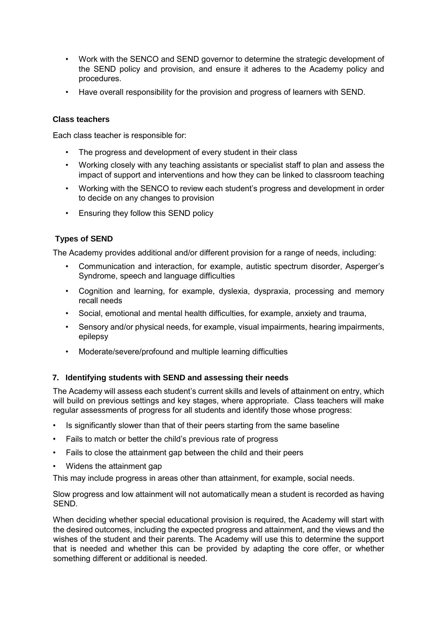- Work with the SENCO and SEND governor to determine the strategic development of the SEND policy and provision, and ensure it adheres to the Academy policy and procedures.
- Have overall responsibility for the provision and progress of learners with SEND.

#### **Class teachers**

Each class teacher is responsible for:

- The progress and development of every student in their class
- Working closely with any teaching assistants or specialist staff to plan and assess the impact of support and interventions and how they can be linked to classroom teaching
- Working with the SENCO to review each student's progress and development in order to decide on any changes to provision
- Ensuring they follow this SEND policy

## **Types of SEND**

The Academy provides additional and/or different provision for a range of needs, including:

- Communication and interaction, for example, autistic spectrum disorder, Asperger's Syndrome, speech and language difficulties
- Cognition and learning, for example, dyslexia, dyspraxia, processing and memory recall needs
- Social, emotional and mental health difficulties, for example, anxiety and trauma,
- Sensory and/or physical needs, for example, visual impairments, hearing impairments, epilepsy
- Moderate/severe/profound and multiple learning difficulties

#### **7. Identifying students with SEND and assessing their needs**

The Academy will assess each student's current skills and levels of attainment on entry, which will build on previous settings and key stages, where appropriate. Class teachers will make regular assessments of progress for all students and identify those whose progress:

- Is significantly slower than that of their peers starting from the same baseline
- Fails to match or better the child's previous rate of progress
- Fails to close the attainment gap between the child and their peers
- Widens the attainment gap

This may include progress in areas other than attainment, for example, social needs.

Slow progress and low attainment will not automatically mean a student is recorded as having SEND.

When deciding whether special educational provision is required, the Academy will start with the desired outcomes, including the expected progress and attainment, and the views and the wishes of the student and their parents. The Academy will use this to determine the support that is needed and whether this can be provided by adapting the core offer, or whether something different or additional is needed.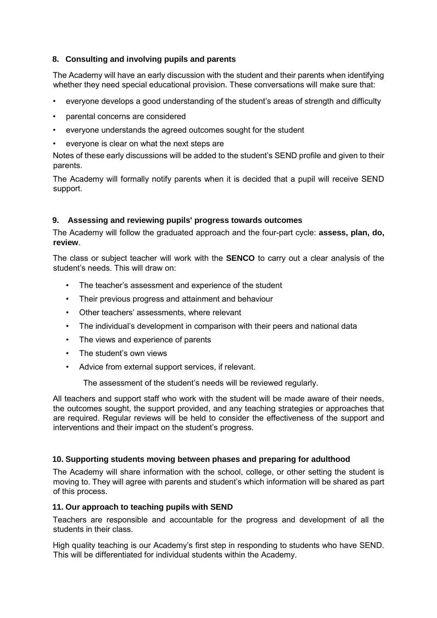# **8. Consulting and involving pupils and parents**

The Academy will have an early discussion with the student and their parents when identifying whether they need special educational provision. These conversations will make sure that:

- everyone develops a good understanding of the student's areas of strength and difficulty
- parental concerns are considered
- everyone understands the agreed outcomes sought for the student
- everyone is clear on what the next steps are

Notes of these early discussions will be added to the student's SEND profile and given to their parents.

The Academy will formally notify parents when it is decided that a pupil will receive SEND support.

## **9. Assessing and reviewing pupils' progress towards outcomes**

The Academy will follow the graduated approach and the four-part cycle: **assess, plan, do, review**.

The class or subject teacher will work with the **SENCO** to carry out a clear analysis of the student's needs. This will draw on:

- The teacher's assessment and experience of the student
- Their previous progress and attainment and behaviour
- Other teachers' assessments, where relevant
- The individual's development in comparison with their peers and national data
- The views and experience of parents
- The student's own views
- Advice from external support services, if relevant.

The assessment of the student's needs will be reviewed regularly.

All teachers and support staff who work with the student will be made aware of their needs, the outcomes sought, the support provided, and any teaching strategies or approaches that are required. Regular reviews will be held to consider the effectiveness of the support and interventions and their impact on the student's progress.

#### **10. Supporting students moving between phases and preparing for adulthood**

The Academy will share information with the school, college, or other setting the student is moving to. They will agree with parents and student's which information will be shared as part of this process.

#### **11. Our approach to teaching pupils with SEND**

Teachers are responsible and accountable for the progress and development of all the students in their class.

High quality teaching is our Academy's first step in responding to students who have SEND. This will be differentiated for individual students within the Academy.